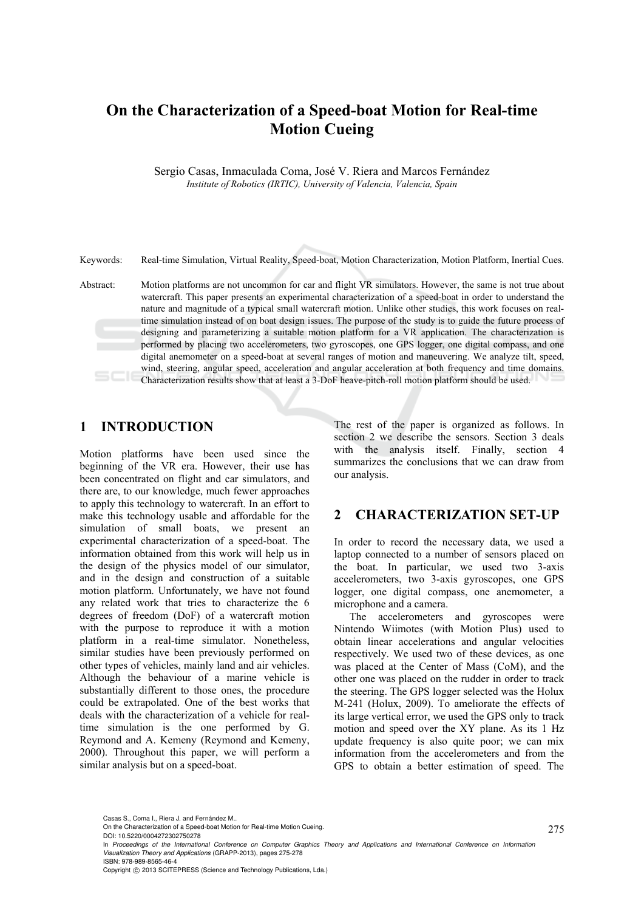# **On the Characterization of a Speed-boat Motion for Real-time Motion Cueing**

Sergio Casas, Inmaculada Coma, José V. Riera and Marcos Fernández *Institute of Robotics (IRTIC), University of Valencia, Valencia, Spain* 

Keywords: Real-time Simulation, Virtual Reality, Speed-boat, Motion Characterization, Motion Platform, Inertial Cues.

Abstract: Motion platforms are not uncommon for car and flight VR simulators. However, the same is not true about watercraft. This paper presents an experimental characterization of a speed-boat in order to understand the nature and magnitude of a typical small watercraft motion. Unlike other studies, this work focuses on realtime simulation instead of on boat design issues. The purpose of the study is to guide the future process of designing and parameterizing a suitable motion platform for a VR application. The characterization is performed by placing two accelerometers, two gyroscopes, one GPS logger, one digital compass, and one digital anemometer on a speed-boat at several ranges of motion and maneuvering. We analyze tilt, speed, wind, steering, angular speed, acceleration and angular acceleration at both frequency and time domains. Characterization results show that at least a 3-DoF heave-pitch-roll motion platform should be used.

## **1 INTRODUCTION**

Motion platforms have been used since the beginning of the VR era. However, their use has been concentrated on flight and car simulators, and there are, to our knowledge, much fewer approaches to apply this technology to watercraft. In an effort to make this technology usable and affordable for the simulation of small boats, we present an experimental characterization of a speed-boat. The information obtained from this work will help us in the design of the physics model of our simulator, and in the design and construction of a suitable motion platform. Unfortunately, we have not found any related work that tries to characterize the 6 degrees of freedom (DoF) of a watercraft motion with the purpose to reproduce it with a motion platform in a real-time simulator. Nonetheless, similar studies have been previously performed on other types of vehicles, mainly land and air vehicles. Although the behaviour of a marine vehicle is substantially different to those ones, the procedure could be extrapolated. One of the best works that deals with the characterization of a vehicle for realtime simulation is the one performed by G. Reymond and A. Kemeny (Reymond and Kemeny, 2000). Throughout this paper, we will perform a similar analysis but on a speed-boat.

The rest of the paper is organized as follows. In section 2 we describe the sensors. Section 3 deals with the analysis itself. Finally, section 4 summarizes the conclusions that we can draw from our analysis.

## **2 CHARACTERIZATION SET-UP**

In order to record the necessary data, we used a laptop connected to a number of sensors placed on the boat. In particular, we used two 3-axis accelerometers, two 3-axis gyroscopes, one GPS logger, one digital compass, one anemometer, a microphone and a camera.

The accelerometers and gyroscopes were Nintendo Wiimotes (with Motion Plus) used to obtain linear accelerations and angular velocities respectively. We used two of these devices, as one was placed at the Center of Mass (CoM), and the other one was placed on the rudder in order to track the steering. The GPS logger selected was the Holux M-241 (Holux, 2009). To ameliorate the effects of its large vertical error, we used the GPS only to track motion and speed over the XY plane. As its 1 Hz update frequency is also quite poor; we can mix information from the accelerometers and from the GPS to obtain a better estimation of speed. The

Casas S., Coma I., Riera J. and Fernández M..

Copyright © 2013 SCITEPRESS (Science and Technology Publications, Lda.)

On the Characterization of a Speed-boat Motion for Real-time Motion Cueing. DOI: 10.5220/0004272302750278

In *Proceedings of the International Conference on Computer Graphics Theory and Applications and International Conference on Information Visualization Theory and Applications* (GRAPP-2013), pages 275-278 ISBN: 978-989-8565-46-4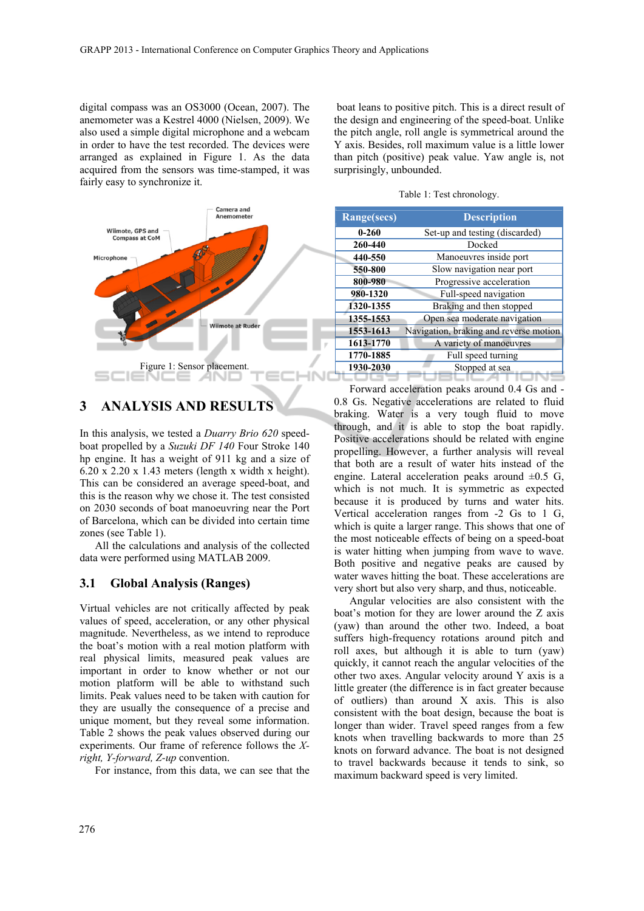digital compass was an OS3000 (Ocean, 2007). The anemometer was a Kestrel 4000 (Nielsen, 2009). We also used a simple digital microphone and a webcam in order to have the test recorded. The devices were arranged as explained in Figure 1. As the data acquired from the sensors was time-stamped, it was fairly easy to synchronize it.



## **3 ANALYSIS AND RESULTS**

In this analysis, we tested a *Duarry Brio 620* speedboat propelled by a *Suzuki DF 140* Four Stroke 140 hp engine. It has a weight of 911 kg and a size of  $6.20 \times 2.20 \times 1.43$  meters (length x width x height). This can be considered an average speed-boat, and this is the reason why we chose it. The test consisted on 2030 seconds of boat manoeuvring near the Port of Barcelona, which can be divided into certain time zones (see Table 1).

All the calculations and analysis of the collected data were performed using MATLAB 2009.

#### **3.1 Global Analysis (Ranges)**

Virtual vehicles are not critically affected by peak values of speed, acceleration, or any other physical magnitude. Nevertheless, as we intend to reproduce the boat's motion with a real motion platform with real physical limits, measured peak values are important in order to know whether or not our motion platform will be able to withstand such limits. Peak values need to be taken with caution for they are usually the consequence of a precise and unique moment, but they reveal some information. Table 2 shows the peak values observed during our experiments. Our frame of reference follows the *Xright, Y-forward, Z-up* convention.

For instance, from this data, we can see that the

 boat leans to positive pitch. This is a direct result of the design and engineering of the speed-boat. Unlike the pitch angle, roll angle is symmetrical around the Y axis. Besides, roll maximum value is a little lower than pitch (positive) peak value. Yaw angle is, not surprisingly, unbounded.

| <b>Range(secs)</b> | <b>Description</b>                     |  |  |
|--------------------|----------------------------------------|--|--|
| $0 - 260$          | Set-up and testing (discarded)         |  |  |
| 260-440            | Docked                                 |  |  |
| 440-550            | Manoeuvres inside port                 |  |  |
| 550-800            | Slow navigation near port              |  |  |
| 800-980            | Progressive acceleration               |  |  |
| 980-1320           | Full-speed navigation                  |  |  |
| 1320-1355          | Braking and then stopped               |  |  |
| 1355-1553          | Open sea moderate navigation           |  |  |
| 1553-1613          | Navigation, braking and reverse motion |  |  |
| 1613-1770          | A variety of manoeuvres                |  |  |
| 1770-1885          | Full speed turning                     |  |  |
| 1930-2030          | Stopped at sea                         |  |  |

Table 1: Test chronology.

Forward acceleration peaks around 0.4 Gs and - 0.8 Gs. Negative accelerations are related to fluid braking. Water is a very tough fluid to move through, and it is able to stop the boat rapidly. Positive accelerations should be related with engine propelling. However, a further analysis will reveal that both are a result of water hits instead of the engine. Lateral acceleration peaks around  $\pm 0.5$  G, which is not much. It is symmetric as expected because it is produced by turns and water hits. Vertical acceleration ranges from -2 Gs to 1 G, which is quite a larger range. This shows that one of the most noticeable effects of being on a speed-boat is water hitting when jumping from wave to wave. Both positive and negative peaks are caused by water waves hitting the boat. These accelerations are very short but also very sharp, and thus, noticeable.

Angular velocities are also consistent with the boat's motion for they are lower around the Z axis (yaw) than around the other two. Indeed, a boat suffers high-frequency rotations around pitch and roll axes, but although it is able to turn (yaw) quickly, it cannot reach the angular velocities of the other two axes. Angular velocity around Y axis is a little greater (the difference is in fact greater because of outliers) than around X axis. This is also consistent with the boat design, because the boat is longer than wider. Travel speed ranges from a few knots when travelling backwards to more than 25 knots on forward advance. The boat is not designed to travel backwards because it tends to sink, so maximum backward speed is very limited.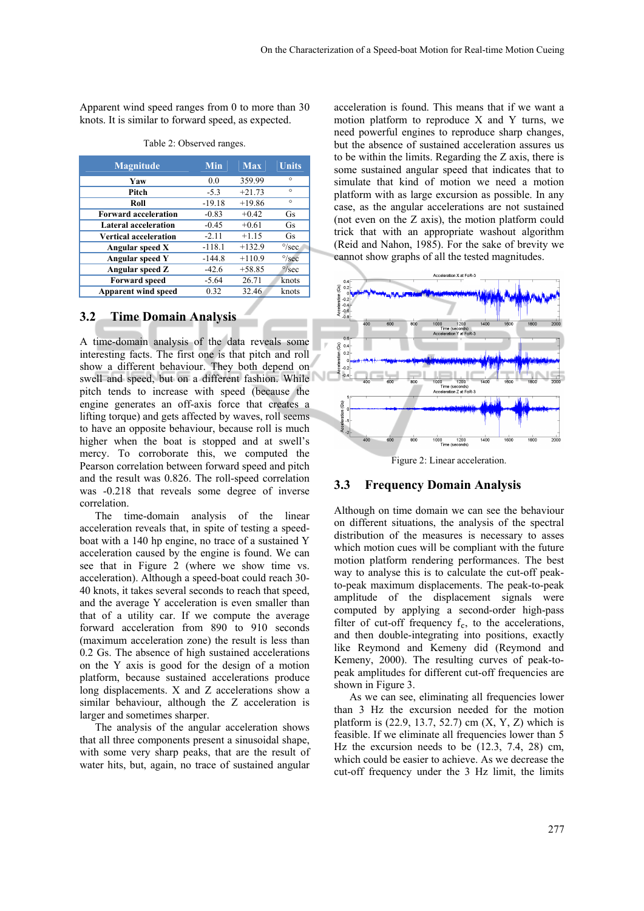Apparent wind speed ranges from 0 to more than 30 knots. It is similar to forward speed, as expected.

| <b>Magnitude</b>             | <b>Min</b> | <b>Max</b> | Units          |
|------------------------------|------------|------------|----------------|
| Yaw                          | 0.0        | 359.99     | $\circ$        |
| Pitch                        | $-5.3$     | $+21.73$   | $\circ$        |
| Roll                         | $-19.18$   | $+19.86$   | $\circ$        |
| <b>Forward acceleration</b>  | $-0.83$    | $+0.42$    | Gs             |
| <b>Lateral acceleration</b>  | $-0.45$    | $+0.61$    | Gs             |
| <b>Vertical acceleration</b> | $-2.11$    | $+1.15$    | <b>Gs</b>      |
| Angular speed X              | $-118.1$   | $+132.9$   | $\degree$ /sec |
| Angular speed Y              | $-144.8$   | $+110.9$   | $\degree$ /sec |
| Angular speed Z              | $-42.6$    | $+58.85$   | $\degree$ /sec |
| <b>Forward</b> speed         | $-5.64$    | 26.71      | knots          |
| <b>Apparent wind speed</b>   | 0.32       | 32.46      | knots          |

Table 2: Observed ranges.

### **3.2 Time Domain Analysis**

A time-domain analysis of the data reveals some interesting facts. The first one is that pitch and roll show a different behaviour. They both depend on swell and speed, but on a different fashion. While pitch tends to increase with speed (because the engine generates an off-axis force that creates a lifting torque) and gets affected by waves, roll seems to have an opposite behaviour, because roll is much higher when the boat is stopped and at swell's mercy. To corroborate this, we computed the Pearson correlation between forward speed and pitch and the result was 0.826. The roll-speed correlation was -0.218 that reveals some degree of inverse correlation.

The time-domain analysis of the linear acceleration reveals that, in spite of testing a speedboat with a 140 hp engine, no trace of a sustained Y acceleration caused by the engine is found. We can see that in Figure 2 (where we show time vs. acceleration). Although a speed-boat could reach 30- 40 knots, it takes several seconds to reach that speed, and the average Y acceleration is even smaller than that of a utility car. If we compute the average forward acceleration from 890 to 910 seconds (maximum acceleration zone) the result is less than 0.2 Gs. The absence of high sustained accelerations on the Y axis is good for the design of a motion platform, because sustained accelerations produce long displacements. X and Z accelerations show a similar behaviour, although the Z acceleration is larger and sometimes sharper.

The analysis of the angular acceleration shows that all three components present a sinusoidal shape, with some very sharp peaks, that are the result of water hits, but, again, no trace of sustained angular

acceleration is found. This means that if we want a motion platform to reproduce X and Y turns, we need powerful engines to reproduce sharp changes, but the absence of sustained acceleration assures us to be within the limits. Regarding the Z axis, there is some sustained angular speed that indicates that to simulate that kind of motion we need a motion platform with as large excursion as possible. In any case, as the angular accelerations are not sustained (not even on the Z axis), the motion platform could trick that with an appropriate washout algorithm (Reid and Nahon, 1985). For the sake of brevity we cannot show graphs of all the tested magnitudes.



Figure 2: Linear acceleration.

#### **3.3 Frequency Domain Analysis**

Although on time domain we can see the behaviour on different situations, the analysis of the spectral distribution of the measures is necessary to asses which motion cues will be compliant with the future motion platform rendering performances. The best way to analyse this is to calculate the cut-off peakto-peak maximum displacements. The peak-to-peak amplitude of the displacement signals were computed by applying a second-order high-pass filter of cut-off frequency  $f_c$ , to the accelerations, and then double-integrating into positions, exactly like Reymond and Kemeny did (Reymond and Kemeny, 2000). The resulting curves of peak-topeak amplitudes for different cut-off frequencies are shown in Figure 3.

As we can see, eliminating all frequencies lower than 3 Hz the excursion needed for the motion platform is  $(22.9, 13.7, 52.7)$  cm  $(X, Y, Z)$  which is feasible. If we eliminate all frequencies lower than 5 Hz the excursion needs to be (12.3, 7.4, 28) cm, which could be easier to achieve. As we decrease the cut-off frequency under the 3 Hz limit, the limits